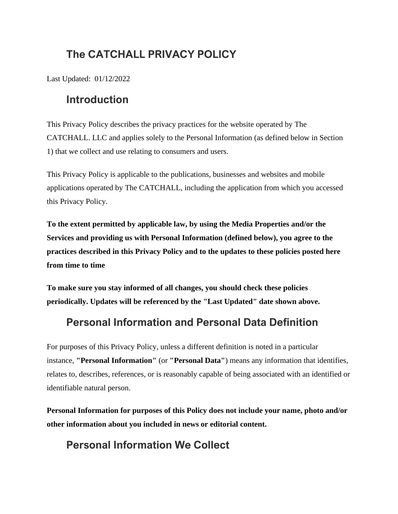# **The CATCHALL PRIVACY POLICY**

Last Updated: 01/12/2022

### **Introduction**

This Privacy Policy describes the privacy practices for the website operated by The CATCHALL. LLC and applies solely to the Personal Information (as defined below in Section 1) that we collect and use relating to consumers and users.

This Privacy Policy is applicable to the publications, businesses and websites and mobile applications operated by The CATCHALL, including the application from which you accessed this Privacy Policy.

**To the extent permitted by applicable law, by using the Media Properties and/or the Services and providing us with Personal Information (defined below), you agree to the practices described in this Privacy Policy and to the updates to these policies posted here from time to time**

**To make sure you stay informed of all changes, you should check these policies periodically. Updates will be referenced by the "Last Updated" date shown above.**

## **Personal Information and Personal Data Definition**

For purposes of this Privacy Policy, unless a different definition is noted in a particular instance, **"Personal Information"** (or **"Personal Data"**) means any information that identifies, relates to, describes, references, or is reasonably capable of being associated with an identified or identifiable natural person.

**Personal Information for purposes of this Policy does not include your name, photo and/or other information about you included in news or editorial content.**

# **Personal Information We Collect**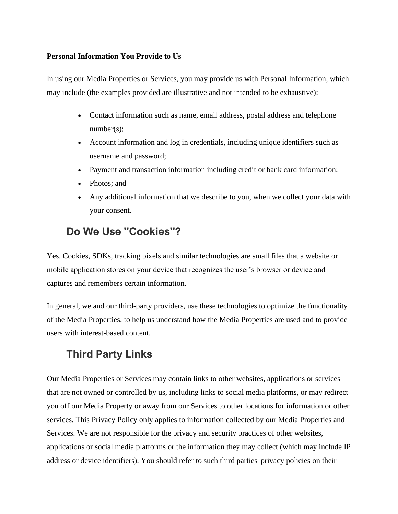#### **Personal Information You Provide to Us**

In using our Media Properties or Services, you may provide us with Personal Information, which may include (the examples provided are illustrative and not intended to be exhaustive):

- Contact information such as name, email address, postal address and telephone number(s);
- Account information and log in credentials, including unique identifiers such as username and password;
- Payment and transaction information including credit or bank card information;
- Photos: and
- Any additional information that we describe to you, when we collect your data with your consent.

# **Do We Use "Cookies"?**

Yes. Cookies, SDKs, tracking pixels and similar technologies are small files that a website or mobile application stores on your device that recognizes the user's browser or device and captures and remembers certain information.

In general, we and our third-party providers, use these technologies to optimize the functionality of the Media Properties, to help us understand how the Media Properties are used and to provide users with interest-based content.

# **Third Party Links**

Our Media Properties or Services may contain links to other websites, applications or services that are not owned or controlled by us, including links to social media platforms, or may redirect you off our Media Property or away from our Services to other locations for information or other services. This Privacy Policy only applies to information collected by our Media Properties and Services. We are not responsible for the privacy and security practices of other websites, applications or social media platforms or the information they may collect (which may include IP address or device identifiers). You should refer to such third parties' privacy policies on their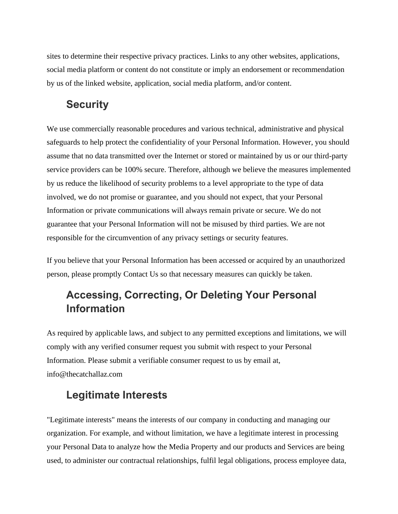sites to determine their respective privacy practices. Links to any other websites, applications, social media platform or content do not constitute or imply an endorsement or recommendation by us of the linked website, application, social media platform, and/or content.

#### **Security**

We use commercially reasonable procedures and various technical, administrative and physical safeguards to help protect the confidentiality of your Personal Information. However, you should assume that no data transmitted over the Internet or stored or maintained by us or our third-party service providers can be 100% secure. Therefore, although we believe the measures implemented by us reduce the likelihood of security problems to a level appropriate to the type of data involved, we do not promise or guarantee, and you should not expect, that your Personal Information or private communications will always remain private or secure. We do not guarantee that your Personal Information will not be misused by third parties. We are not responsible for the circumvention of any privacy settings or security features.

If you believe that your Personal Information has been accessed or acquired by an unauthorized person, please promptly [Contact Us](https://cm.usatoday.com/privacy#otnotice-section-4b7267ae-594a-4dff-b734-da7fe351004f) so that necessary measures can quickly be taken.

# **Accessing, Correcting, Or Deleting Your Personal Information**

As required by applicable laws, and subject to any permitted exceptions and limitations, we will comply with any verified consumer request you submit with respect to your Personal Information. Please submit a verifiable consumer request to us by email at, info@thecatchallaz.com

# **Legitimate Interests**

"Legitimate interests" means the interests of our company in conducting and managing our organization. For example, and without limitation, we have a legitimate interest in processing your Personal Data to analyze how the Media Property and our products and Services are being used, to administer our contractual relationships, fulfil legal obligations, process employee data,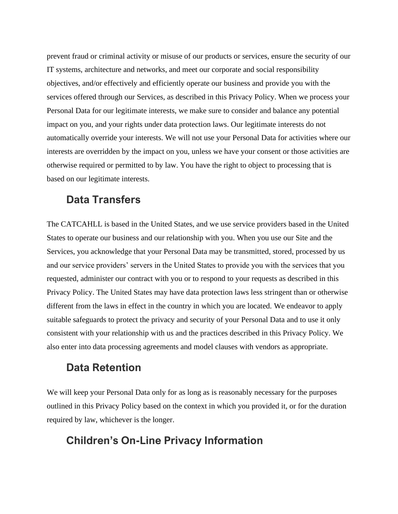prevent fraud or criminal activity or misuse of our products or services, ensure the security of our IT systems, architecture and networks, and meet our corporate and social responsibility objectives, and/or effectively and efficiently operate our business and provide you with the services offered through our Services, as described in this Privacy Policy. When we process your Personal Data for our legitimate interests, we make sure to consider and balance any potential impact on you, and your rights under data protection laws. Our legitimate interests do not automatically override your interests. We will not use your Personal Data for activities where our interests are overridden by the impact on you, unless we have your consent or those activities are otherwise required or permitted to by law. You have the right to object to processing that is based on our legitimate interests.

### **Data Transfers**

The CATCAHLL is based in the United States, and we use service providers based in the United States to operate our business and our relationship with you. When you use our Site and the Services, you acknowledge that your Personal Data may be transmitted, stored, processed by us and our service providers' servers in the United States to provide you with the services that you requested, administer our contract with you or to respond to your requests as described in this Privacy Policy. The United States may have data protection laws less stringent than or otherwise different from the laws in effect in the country in which you are located. We endeavor to apply suitable safeguards to protect the privacy and security of your Personal Data and to use it only consistent with your relationship with us and the practices described in this Privacy Policy. We also enter into data processing agreements and model clauses with vendors as appropriate.

### **Data Retention**

We will keep your Personal Data only for as long as is reasonably necessary for the purposes outlined in this Privacy Policy based on the context in which you provided it, or for the duration required by law, whichever is the longer.

## **Children's On-Line Privacy Information**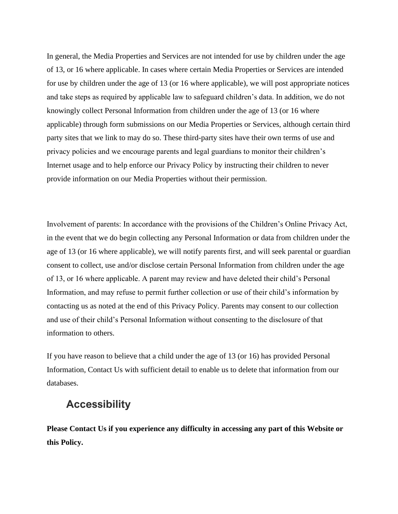In general, the Media Properties and Services are not intended for use by children under the age of 13, or 16 where applicable. In cases where certain Media Properties or Services are intended for use by children under the age of 13 (or 16 where applicable), we will post appropriate notices and take steps as required by applicable law to safeguard children's data. In addition, we do not knowingly collect Personal Information from children under the age of 13 (or 16 where applicable) through form submissions on our Media Properties or Services, although certain third party sites that we link to may do so. These third-party sites have their own terms of use and privacy policies and we encourage parents and legal guardians to monitor their children's Internet usage and to help enforce our Privacy Policy by instructing their children to never provide information on our Media Properties without their permission.

Involvement of parents: In accordance with the provisions of the Children's Online Privacy Act, in the event that we do begin collecting any Personal Information or data from children under the age of 13 (or 16 where applicable), we will notify parents first, and will seek parental or guardian consent to collect, use and/or disclose certain Personal Information from children under the age of 13, or 16 where applicable. A parent may review and have deleted their child's Personal Information, and may refuse to permit further collection or use of their child's information by contacting us as noted at the end of this Privacy Policy. Parents may consent to our collection and use of their child's Personal Information without consenting to the disclosure of that information to others.

If you have reason to believe that a child under the age of 13 (or 16) has provided Personal Information, Contact Us with sufficient detail to enable us to delete that information from our databases.

### **Accessibility**

**Please Contact Us if you experience any difficulty in accessing any part of this Website or this Policy.**